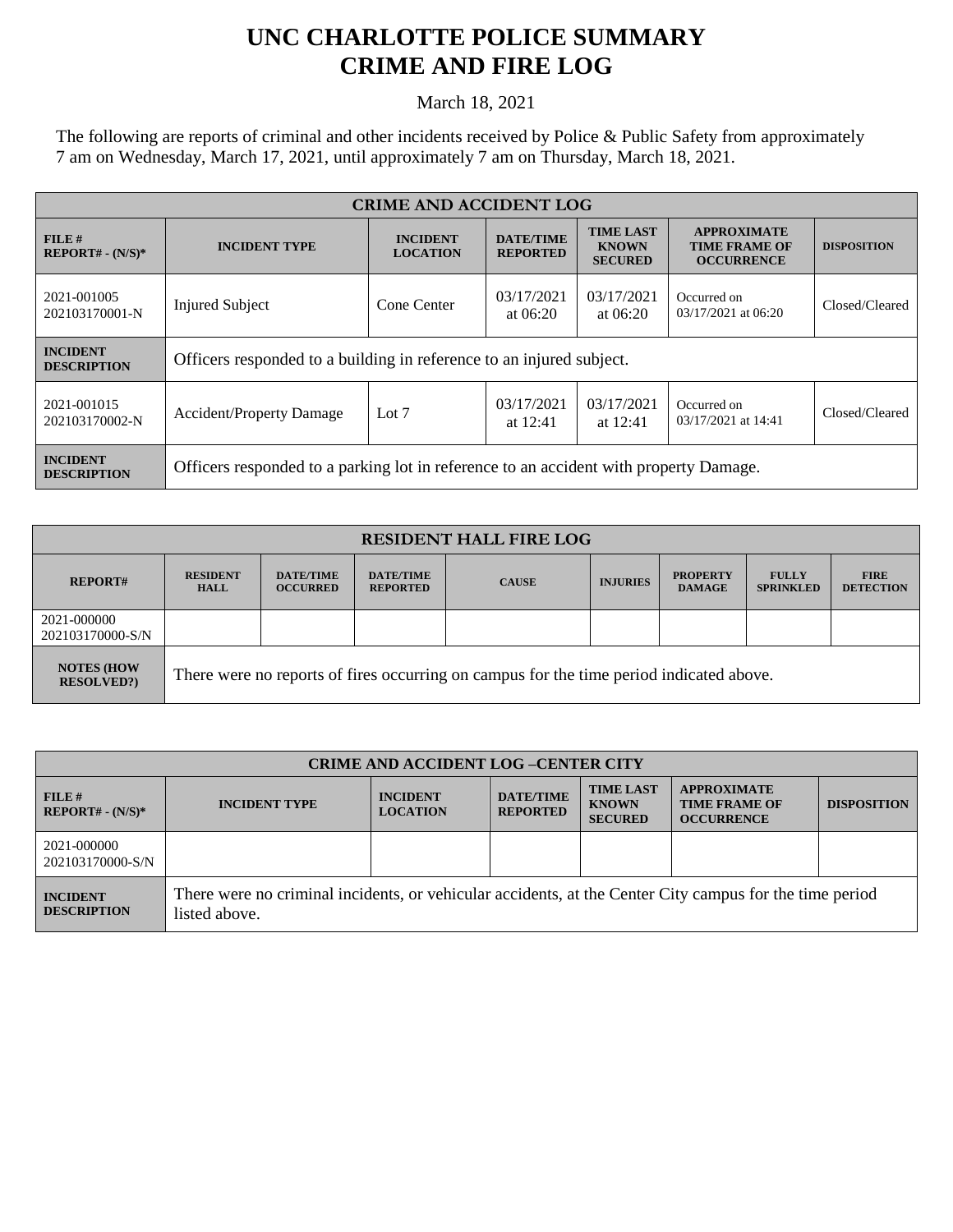## **UNC CHARLOTTE POLICE SUMMARY CRIME AND FIRE LOG**

March 18, 2021

The following are reports of criminal and other incidents received by Police & Public Safety from approximately 7 am on Wednesday, March 17, 2021, until approximately 7 am on Thursday, March 18, 2021.

| <b>CRIME AND ACCIDENT LOG</b>         |                                                                                       |                                    |                                     |                                                    |                                                                 |                    |  |
|---------------------------------------|---------------------------------------------------------------------------------------|------------------------------------|-------------------------------------|----------------------------------------------------|-----------------------------------------------------------------|--------------------|--|
| $FILE$ #<br>$REPORT# - (N/S)*$        | <b>INCIDENT TYPE</b>                                                                  | <b>INCIDENT</b><br><b>LOCATION</b> | <b>DATE/TIME</b><br><b>REPORTED</b> | <b>TIME LAST</b><br><b>KNOWN</b><br><b>SECURED</b> | <b>APPROXIMATE</b><br><b>TIME FRAME OF</b><br><b>OCCURRENCE</b> | <b>DISPOSITION</b> |  |
| 2021-001005<br>202103170001-N         | <b>Injured Subject</b>                                                                | Cone Center                        | 03/17/2021<br>at $06:20$            | 03/17/2021<br>at $06:20$                           | Occurred on<br>03/17/2021 at 06:20                              | Closed/Cleared     |  |
| <b>INCIDENT</b><br><b>DESCRIPTION</b> | Officers responded to a building in reference to an injured subject.                  |                                    |                                     |                                                    |                                                                 |                    |  |
| 2021-001015<br>202103170002-N         | <b>Accident/Property Damage</b>                                                       | Lot $7$                            | 03/17/2021<br>at $12:41$            | 03/17/2021<br>at $12:41$                           | Occurred on<br>03/17/2021 at 14:41                              | Closed/Cleared     |  |
| <b>INCIDENT</b><br><b>DESCRIPTION</b> | Officers responded to a parking lot in reference to an accident with property Damage. |                                    |                                     |                                                    |                                                                 |                    |  |

| <b>RESIDENT HALL FIRE LOG</b>         |                                                                                         |                                     |                                     |              |                 |                                  |                                  |                                 |
|---------------------------------------|-----------------------------------------------------------------------------------------|-------------------------------------|-------------------------------------|--------------|-----------------|----------------------------------|----------------------------------|---------------------------------|
| <b>REPORT#</b>                        | <b>RESIDENT</b><br><b>HALL</b>                                                          | <b>DATE/TIME</b><br><b>OCCURRED</b> | <b>DATE/TIME</b><br><b>REPORTED</b> | <b>CAUSE</b> | <b>INJURIES</b> | <b>PROPERTY</b><br><b>DAMAGE</b> | <b>FULLY</b><br><b>SPRINKLED</b> | <b>FIRE</b><br><b>DETECTION</b> |
| 2021-000000<br>202103170000-S/N       |                                                                                         |                                     |                                     |              |                 |                                  |                                  |                                 |
| <b>NOTES (HOW</b><br><b>RESOLVED?</b> | There were no reports of fires occurring on campus for the time period indicated above. |                                     |                                     |              |                 |                                  |                                  |                                 |

| <b>CRIME AND ACCIDENT LOG -CENTER CITY</b> |                                                                                                                          |                                    |                                     |                                                    |                                                                 |                    |
|--------------------------------------------|--------------------------------------------------------------------------------------------------------------------------|------------------------------------|-------------------------------------|----------------------------------------------------|-----------------------------------------------------------------|--------------------|
| FILE H<br>$REPORT# - (N/S)*$               | <b>INCIDENT TYPE</b>                                                                                                     | <b>INCIDENT</b><br><b>LOCATION</b> | <b>DATE/TIME</b><br><b>REPORTED</b> | <b>TIME LAST</b><br><b>KNOWN</b><br><b>SECURED</b> | <b>APPROXIMATE</b><br><b>TIME FRAME OF</b><br><b>OCCURRENCE</b> | <b>DISPOSITION</b> |
| 2021-000000<br>202103170000-S/N            |                                                                                                                          |                                    |                                     |                                                    |                                                                 |                    |
| <b>INCIDENT</b><br><b>DESCRIPTION</b>      | There were no criminal incidents, or vehicular accidents, at the Center City campus for the time period<br>listed above. |                                    |                                     |                                                    |                                                                 |                    |